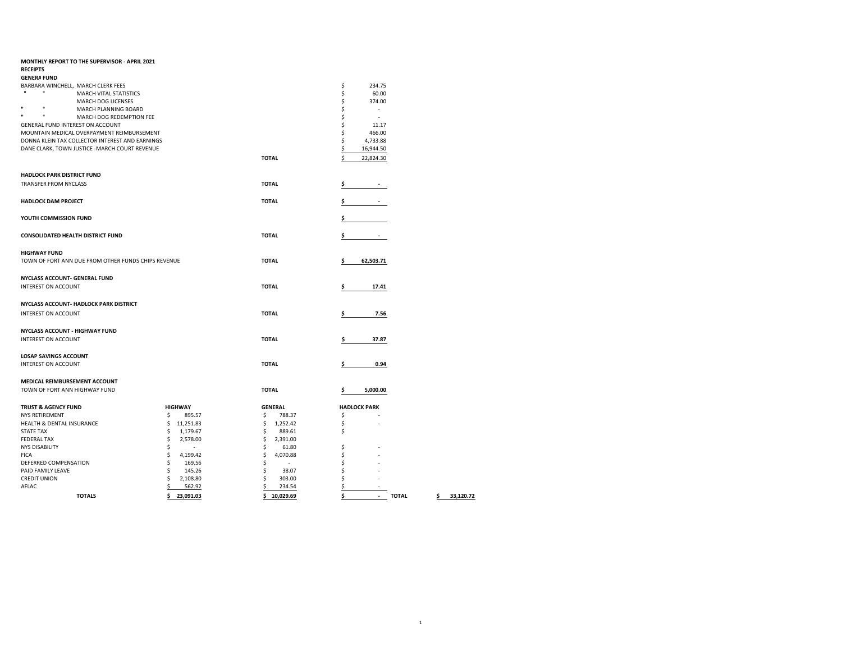| MONTHLY REPORT TO THE SUPERVISOR - APRIL 2021                 |                |                                |    |                                |
|---------------------------------------------------------------|----------------|--------------------------------|----|--------------------------------|
| <b>RECEIPTS</b>                                               |                |                                |    |                                |
| <b>GENERA FUND</b>                                            |                |                                |    |                                |
| BARBARA WINCHELL, MARCH CLERK FEES                            |                |                                | \$ | 234.75                         |
| $\mathbf{u}$<br>$\mathbf{u}$<br><b>MARCH VITAL STATISTICS</b> |                |                                | \$ | 60.00                          |
| MARCH DOG LICENSES                                            |                |                                | \$ | 374.00                         |
| $\mathbf{u}$<br>$\mathbf{u}$<br>MARCH PLANNING BOARD          |                |                                | \$ | $\overline{\phantom{a}}$       |
| Ħ<br>n<br>MARCH DOG REDEMPTION FEE                            |                |                                | \$ | ÷.                             |
| GENERAL FUND INTEREST ON ACCOUNT                              |                |                                | \$ | 11.17                          |
| MOUNTAIN MEDICAL OVERPAYMENT REIMBURSEMENT                    |                |                                | \$ | 466.00                         |
| DONNA KLEIN TAX COLLECTOR INTEREST AND EARNINGS               |                |                                | \$ | 4,733.88                       |
| DANE CLARK, TOWN JUSTICE -MARCH COURT REVENUE                 |                |                                | \$ | 16,944.50                      |
|                                                               |                | <b>TOTAL</b>                   | Ś  | 22,824.30                      |
|                                                               |                |                                |    |                                |
| HADLOCK PARK DISTRICT FUND                                    |                |                                |    |                                |
| <b>TRANSFER FROM NYCLASS</b>                                  |                | <b>TOTAL</b>                   | \$ |                                |
|                                                               |                |                                |    |                                |
| <b>HADLOCK DAM PROJECT</b>                                    |                | <b>TOTAL</b>                   | \$ | $\overline{\phantom{a}}$       |
|                                                               |                |                                |    |                                |
| YOUTH COMMISSION FUND                                         |                |                                | \$ |                                |
|                                                               |                |                                |    |                                |
| <b>CONSOLIDATED HEALTH DISTRICT FUND</b>                      |                | <b>TOTAL</b>                   | \$ |                                |
|                                                               |                |                                |    |                                |
| <b>HIGHWAY FUND</b>                                           |                |                                |    |                                |
| TOWN OF FORT ANN DUE FROM OTHER FUNDS CHIPS REVENUE           |                | <b>TOTAL</b>                   | \$ | 62,503.71                      |
|                                                               |                |                                |    |                                |
| NYCLASS ACCOUNT- GENERAL FUND                                 |                |                                |    |                                |
| <b>INTEREST ON ACCOUNT</b>                                    |                | <b>TOTAL</b>                   |    |                                |
|                                                               |                |                                | \$ | 17.41                          |
| NYCLASS ACCOUNT- HADLOCK PARK DISTRICT                        |                |                                |    |                                |
|                                                               |                |                                |    |                                |
| <b>INTEREST ON ACCOUNT</b>                                    |                | <b>TOTAL</b>                   | \$ | 7.56                           |
|                                                               |                |                                |    |                                |
| NYCLASS ACCOUNT - HIGHWAY FUND                                |                |                                |    |                                |
| <b>INTEREST ON ACCOUNT</b>                                    |                | <b>TOTAL</b>                   | \$ | 37.87                          |
|                                                               |                |                                |    |                                |
| <b>LOSAP SAVINGS ACCOUNT</b>                                  |                |                                |    |                                |
| INTEREST ON ACCOUNT                                           |                | <b>TOTAL</b>                   | \$ | 0.94                           |
|                                                               |                |                                |    |                                |
| MEDICAL REIMBURSEMENT ACCOUNT                                 |                |                                |    |                                |
| TOWN OF FORT ANN HIGHWAY FUND                                 |                | <b>TOTAL</b>                   | \$ | 5,000.00                       |
|                                                               |                |                                |    |                                |
| <b>TRUST &amp; AGENCY FUND</b>                                | <b>HIGHWAY</b> | <b>GENERAL</b>                 |    | <b>HADLOCK PARK</b>            |
| <b>NYS RETIREMENT</b>                                         | \$<br>895.57   | \$<br>788.37                   | \$ |                                |
| HEALTH & DENTAL INSURANCE                                     | \$11,251.83    | \$<br>1,252.42                 | \$ |                                |
| <b>STATE TAX</b>                                              | \$<br>1,179.67 | \$<br>889.61                   | \$ |                                |
| <b>FEDERAL TAX</b>                                            | \$<br>2,578.00 | \$<br>2,391.00                 |    |                                |
| <b>NYS DISABILITY</b>                                         | \$<br>$\sim$   | \$<br>61.80                    | \$ |                                |
| <b>FICA</b>                                                   | \$<br>4,199.42 | \$<br>4,070.88                 | \$ |                                |
| DEFERRED COMPENSATION                                         | \$<br>169.56   | \$<br>$\overline{\phantom{a}}$ | \$ |                                |
| PAID FAMILY LEAVE                                             | \$<br>145.26   | \$<br>38.07                    | \$ |                                |
| <b>CREDIT UNION</b>                                           | Ś<br>2,108.80  | \$<br>303.00                   | \$ | ÷                              |
| AFLAC                                                         | \$<br>562.92   | \$<br>234.54                   | \$ |                                |
| <b>TOTALS</b>                                                 | \$23.091.03    | Ś<br>10.029.69                 | Ś  | <b>TOTAL</b><br>$\overline{a}$ |
|                                                               |                |                                |    |                                |

 $1$ 

**TOTALS \$ 23,091.03 \$ 10,029.69 \$ - TOTAL \$ 33,120.72**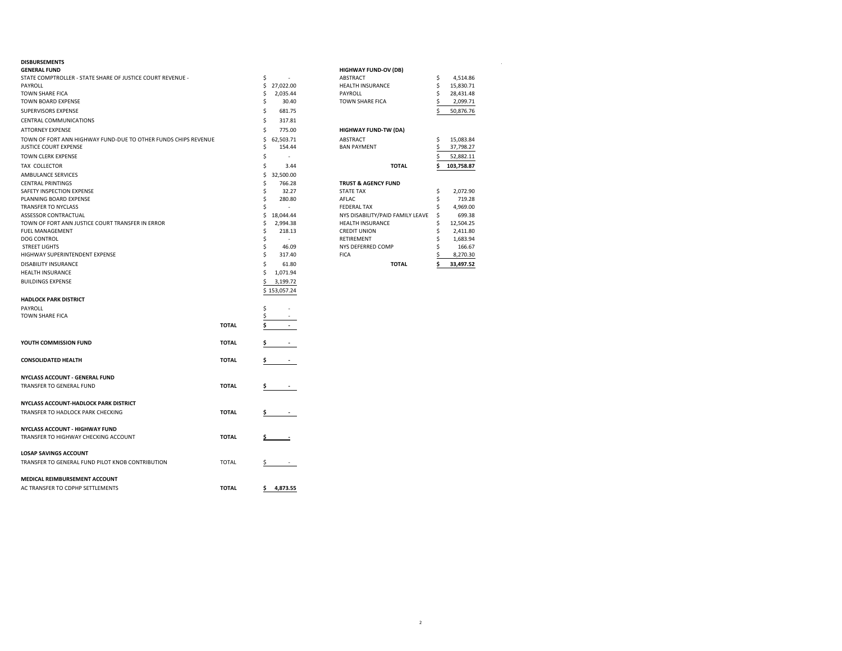### **DISBURSEMENTS** .

| <b>GENERAL FUND</b>                                            |              |     |                          | <b>HIGHWAY FUND-OV (DB)</b>      |    |            |
|----------------------------------------------------------------|--------------|-----|--------------------------|----------------------------------|----|------------|
| STATE COMPTROLLER - STATE SHARE OF JUSTICE COURT REVENUE -     |              | \$  |                          | ABSTRACT                         | \$ | 4,514.86   |
| PAYROLL                                                        |              | \$  | 27,022.00                | HEALTH INSURANCE                 | \$ | 15,830.71  |
| TOWN SHARE FICA                                                |              | \$  | 2,035.44                 | PAYROLL                          | \$ | 28,431.48  |
| TOWN BOARD EXPENSE                                             |              | Ś   | 30.40                    | TOWN SHARE FICA                  |    | 2,099.71   |
| SUPERVISORS EXPENSE                                            |              | \$  | 681.75                   |                                  |    | 50,876.76  |
| CENTRAL COMMUNICATIONS                                         |              | \$  | 317.81                   |                                  |    |            |
| <b>ATTORNEY EXPENSE</b>                                        |              | Ś   | 775.00                   | <b>HIGHWAY FUND-TW (DA)</b>      |    |            |
| TOWN OF FORT ANN HIGHWAY FUND-DUE TO OTHER FUNDS CHIPS REVENUE |              | Ś   | 62.503.71                | ABSTRACT                         | s  | 15,083.84  |
| JUSTICE COURT EXPENSE                                          |              | \$  | 154.44                   | <b>BAN PAYMENT</b>               |    | 37,798.27  |
| TOWN CLERK EXPENSE                                             |              | \$  |                          |                                  |    | 52,882.11  |
| TAX COLLECTOR                                                  |              | \$  | 3.44                     | <b>TOTAL</b>                     | Ś  | 103,758.87 |
| AMBULANCE SERVICES                                             |              | \$  | 32,500.00                |                                  |    |            |
| <b>CENTRAL PRINTINGS</b>                                       |              | Ŝ   | 766.28                   | <b>TRUST &amp; AGENCY FUND</b>   |    |            |
| SAFETY INSPECTION EXPENSE                                      |              | \$  | 32.27                    | <b>STATE TAX</b>                 | \$ | 2,072.90   |
| PLANNING BOARD EXPENSE                                         |              | Ŝ   | 280.80                   | AFLAC                            | Ś  | 719.28     |
| TRANSFER TO NYCLASS                                            |              | Ś   | ÷                        | <b>FEDERAL TAX</b>               | \$ | 4,969.00   |
| ASSESSOR CONTRACTUAL                                           |              | \$  | 18,044.44                | NYS DISABILITY/PAID FAMILY LEAVE | \$ | 699.38     |
| TOWN OF FORT ANN JUSTICE COURT TRANSFER IN ERROR               |              | Ŝ   | 2,994.38                 | <b>HEALTH INSURANCE</b>          | s  | 12,504.25  |
| FUEL MANAGEMENT                                                |              | Ś   | 218.13                   | <b>CREDIT UNION</b>              | \$ | 2,411.80   |
| DOG CONTROL                                                    |              |     | $\overline{\phantom{a}}$ | RETIREMENT                       |    | 1,683.94   |
| <b>STREET LIGHTS</b>                                           |              | \$  | 46.09                    | NYS DEFERRED COMP                | Ś  | 166.67     |
| HIGHWAY SUPERINTENDENT EXPENSE                                 |              | \$  | 317.40                   | <b>FICA</b>                      |    | 8,270.30   |
| DISABILITY INSURANCE                                           |              | Ś   | 61.80                    | <b>TOTAL</b>                     |    | 33,497.52  |
| HEALTH INSURANCE                                               |              | Ś.  | 1,071.94                 |                                  |    |            |
| <b>BUILDINGS EXPENSE</b>                                       |              | \$  | 3,199.72                 |                                  |    |            |
|                                                                |              |     | \$153,057.24             |                                  |    |            |
| <b>HADLOCK PARK DISTRICT</b>                                   |              |     |                          |                                  |    |            |
|                                                                |              | \$  | ÷.                       |                                  |    |            |
| PAYROLL<br>TOWN SHARE FICA                                     |              |     |                          |                                  |    |            |
|                                                                |              | \$  |                          |                                  |    |            |
|                                                                | <b>TOTAL</b> |     |                          |                                  |    |            |
| YOUTH COMMISSION FUND                                          | <b>TOTAL</b> | s   | $\sim$                   |                                  |    |            |
|                                                                |              |     |                          |                                  |    |            |
| <b>CONSOLIDATED HEALTH</b>                                     | <b>TOTAL</b> | \$. | <b>Contract Contract</b> |                                  |    |            |
|                                                                |              |     |                          |                                  |    |            |
| NYCLASS ACCOUNT - GENERAL FUND                                 |              |     |                          |                                  |    |            |
| TRANSFER TO GENERAL FUND                                       | <b>TOTAL</b> | Ş.  |                          |                                  |    |            |
|                                                                |              |     |                          |                                  |    |            |
| NYCLASS ACCOUNT-HADLOCK PARK DISTRICT                          |              |     |                          |                                  |    |            |
| TRANSFER TO HADLOCK PARK CHECKING                              | <b>TOTAL</b> | \$  |                          |                                  |    |            |
| NYCLASS ACCOUNT - HIGHWAY FUND                                 |              |     |                          |                                  |    |            |
| TRANSFER TO HIGHWAY CHECKING ACCOUNT                           | <b>TOTAL</b> |     |                          |                                  |    |            |
|                                                                |              |     |                          |                                  |    |            |
| <b>LOSAP SAVINGS ACCOUNT</b>                                   |              |     |                          |                                  |    |            |
| TRANSFER TO GENERAL FUND PILOT KNOB CONTRIBUTION               | <b>TOTAL</b> | Ş.  |                          |                                  |    |            |
|                                                                |              |     |                          |                                  |    |            |
| MEDICAL REIMBURSEMENT ACCOUNT                                  |              |     |                          |                                  |    |            |
| AC TRANSFER TO CDPHP SETTLEMENTS                               | <b>TOTAL</b> | s.  | 4,873.55                 |                                  |    |            |
|                                                                |              |     |                          |                                  |    |            |

| <b>HIGHWAY FUND-OV (DB)</b>      |                  |
|----------------------------------|------------------|
| <b>ABSTRACT</b>                  | \$<br>4.514.86   |
| <b>HEALTH INSURANCE</b>          | \$<br>15,830.71  |
| PAYROLL                          | \$<br>28,431.48  |
| <b>TOWN SHARE FICA</b>           | \$<br>2,099.71   |
|                                  | \$<br>50,876.76  |
| <b>HIGHWAY FUND-TW (DA)</b>      |                  |
| <b>ABSTRACT</b>                  | \$<br>15.083.84  |
| <b>BAN PAYMENT</b>               | \$<br>37,798.27  |
|                                  | \$<br>52,882.11  |
| <b>TOTAL</b>                     | \$<br>103.758.87 |
| <b>TRUST &amp; AGENCY FUND</b>   |                  |
| <b>STATE TAX</b>                 | \$<br>2,072.90   |
| AFLAC                            | \$<br>719.28     |
| <b>FEDERAL TAX</b>               | \$<br>4,969.00   |
| NYS DISABILITY/PAID FAMILY LEAVE | \$<br>699.38     |
| <b>HEALTH INSURANCE</b>          | \$<br>12,504.25  |
| <b>CREDIT UNION</b>              | \$<br>2,411.80   |
| <b>RETIREMENT</b>                | \$<br>1.683.94   |
| NYS DEFERRED COMP                | \$<br>166.67     |
| <b>FICA</b>                      | \$<br>8,270.30   |
| <b>TOTAL</b>                     | \$<br>33.497.52  |